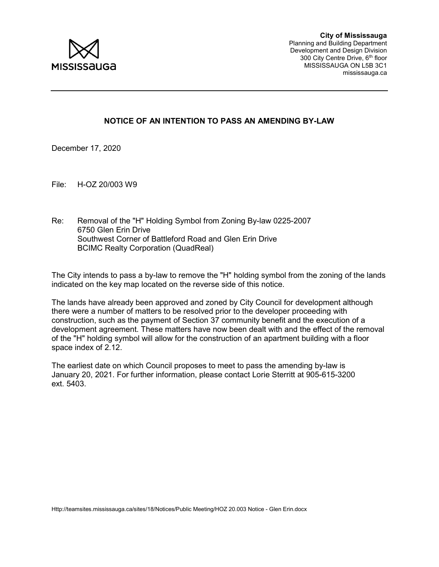

## NOTICE OF AN INTENTION TO PASS AN AMENDING BY-LAW

December 17, 2020

File: H-OZ 20/003 W9

Re: Removal of the "H" Holding Symbol from Zoning By-law 0225-2007 6750 Glen Erin Drive Southwest Corner of Battleford Road and Glen Erin Drive BCIMC Realty Corporation (QuadReal)

The City intends to pass a by-law to remove the "H" holding symbol from the zoning of the lands indicated on the key map located on the reverse side of this notice.

The lands have already been approved and zoned by City Council for development although there were a number of matters to be resolved prior to the developer proceeding with construction, such as the payment of Section 37 community benefit and the execution of a development agreement. These matters have now been dealt with and the effect of the removal of the "H" holding symbol will allow for the construction of an apartment building with a floor space index of 2.12.

The earliest date on which Council proposes to meet to pass the amending by-law is January 20, 2021. For further information, please contact Lorie Sterritt at 905-615-3200 ext. 5403.